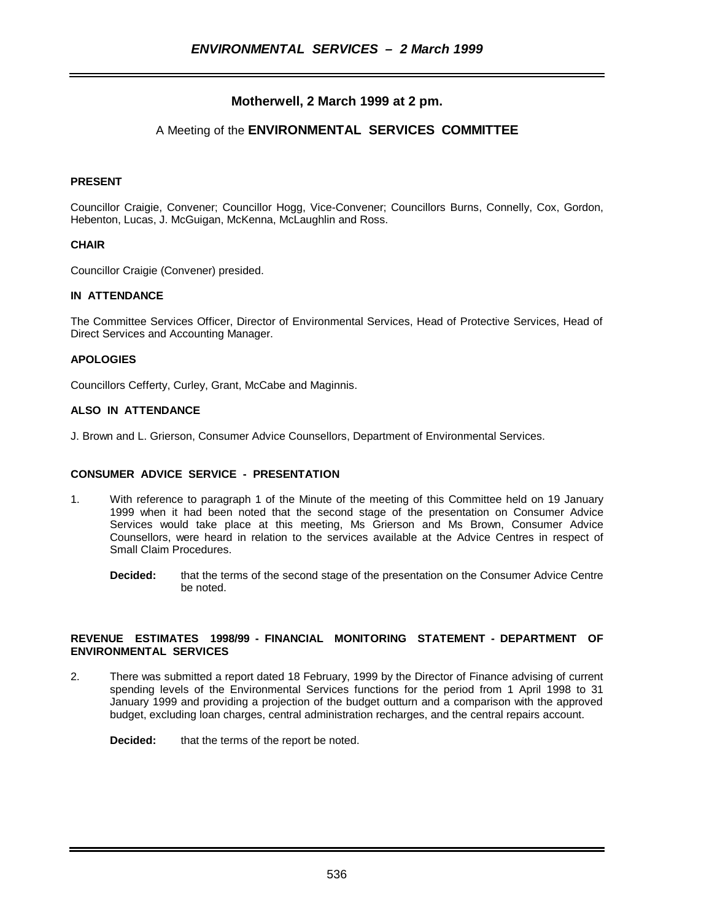# **Motherwell, 2 March 1999 at 2 pm.**

# A Meeting of the **ENVIRONMENTAL SERVICES COMMITTEE**

# **PRESENT**

Councillor Craigie, Convener; Councillor Hogg, Vice-Convener; Councillors Burns, Connelly, Cox, Gordon, Hebenton, Lucas, J. McGuigan, McKenna, McLaughlin and Ross.

# **CHAIR**

Councillor Craigie (Convener) presided.

# **IN ATTENDANCE**

The Committee Services Officer, Director of Environmental Services, Head of Protective Services, Head of Direct Services and Accounting Manager.

# **APOLOGIES**

Councillors Cefferty, Curley, Grant, McCabe and Maginnis.

# **ALSO IN ATTENDANCE**

J. Brown and L. Grierson, Consumer Advice Counsellors, Department of Environmental Services.

# **CONSUMER ADVICE SERVICE - PRESENTATION**

- 1. With reference to paragraph 1 of the Minute of the meeting of this Committee held on 19 January 1999 when it had been noted that the second stage of the presentation on Consumer Advice Services would take place at this meeting, Ms Grierson and Ms Brown, Consumer Advice Counsellors, were heard in relation to the services available at the Advice Centres in respect of Small Claim Procedures.
	- **Decided:** that the terms of the second stage of the presentation on the Consumer Advice Centre be noted.

#### **REVENUE ESTIMATES 1998/99 - FINANCIAL MONITORING STATEMENT - DEPARTMENT OF ENVIRONMENTAL SERVICES**

- 2. There was submitted a report dated 18 February, 1999 by the Director of Finance advising of current spending levels of the Environmental Services functions for the period from 1 April 1998 to 31 January 1999 and providing a projection of the budget outturn and a comparison with the approved budget, excluding loan charges, central administration recharges, and the central repairs account.
	- **Decided:** that the terms of the report be noted.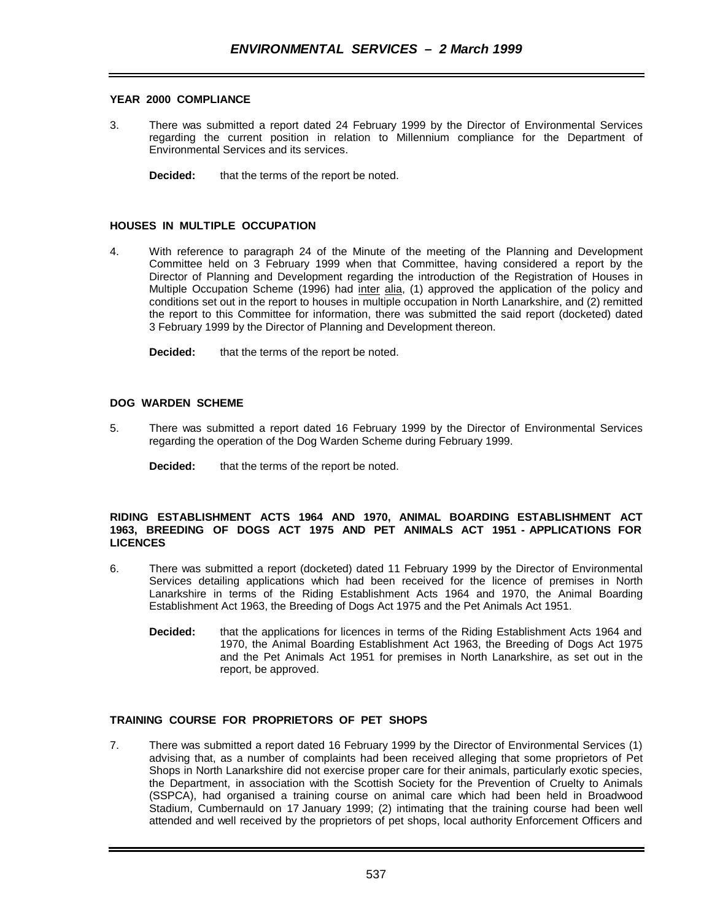# **YEAR 2000 COMPLIANCE**

- 3. There was submitted a report dated 24 February 1999 by the Director of Environmental Services regarding the current position in relation to Millennium compliance for the Department of Environmental Services and its services.
	- **Decided:** that the terms of the report be noted.

# **HOUSES IN MULTIPLE OCCUPATION**

4. With reference to paragraph 24 of the Minute of the meeting of the Planning and Development Committee held on 3 February 1999 when that Committee, having considered a report by the Director of Planning and Development regarding the introduction of the Registration of Houses in Multiple Occupation Scheme (1996) had inter alia, (1) approved the application of the policy and conditions set out in the report to houses in multiple occupation in North Lanarkshire, and (2) remitted the report to this Committee for information, there was submitted the said report (docketed) dated 3 February 1999 by the Director of Planning and Development thereon.

**Decided:** that the terms of the report be noted.

#### **DOG WARDEN SCHEME**

5. There was submitted a report dated 16 February 1999 by the Director of Environmental Services regarding the operation of the Dog Warden Scheme during February 1999.

**Decided:** that the terms of the report be noted.

#### **RIDING ESTABLISHMENT ACTS 1964 AND 1970, ANIMAL BOARDING ESTABLISHMENT ACT 1963, BREEDING OF DOGS ACT 1975 AND PET ANIMALS ACT 1951 - APPLICATIONS FOR LICENCES**

- 6. There was submitted a report (docketed) dated 11 February 1999 by the Director of Environmental Services detailing applications which had been received for the licence of premises in North Lanarkshire in terms of the Riding Establishment Acts 1964 and 1970, the Animal Boarding Establishment Act 1963, the Breeding of Dogs Act 1975 and the Pet Animals Act 1951.
	- **Decided:** that the applications for licences in terms of the Riding Establishment Acts 1964 and 1970, the Animal Boarding Establishment Act 1963, the Breeding of Dogs Act 1975 and the Pet Animals Act 1951 for premises in North Lanarkshire, as set out in the report, be approved.

# **TRAINING COURSE FOR PROPRIETORS OF PET SHOPS**

7. There was submitted a report dated 16 February 1999 by the Director of Environmental Services (1) advising that, as a number of complaints had been received alleging that some proprietors of Pet Shops in North Lanarkshire did not exercise proper care for their animals, particularly exotic species, the Department, in association with the Scottish Society for the Prevention of Cruelty to Animals (SSPCA), had organised a training course on animal care which had been held in Broadwood Stadium, Cumbernauld on 17 January 1999; (2) intimating that the training course had been well attended and well received by the proprietors of pet shops, local authority Enforcement Officers and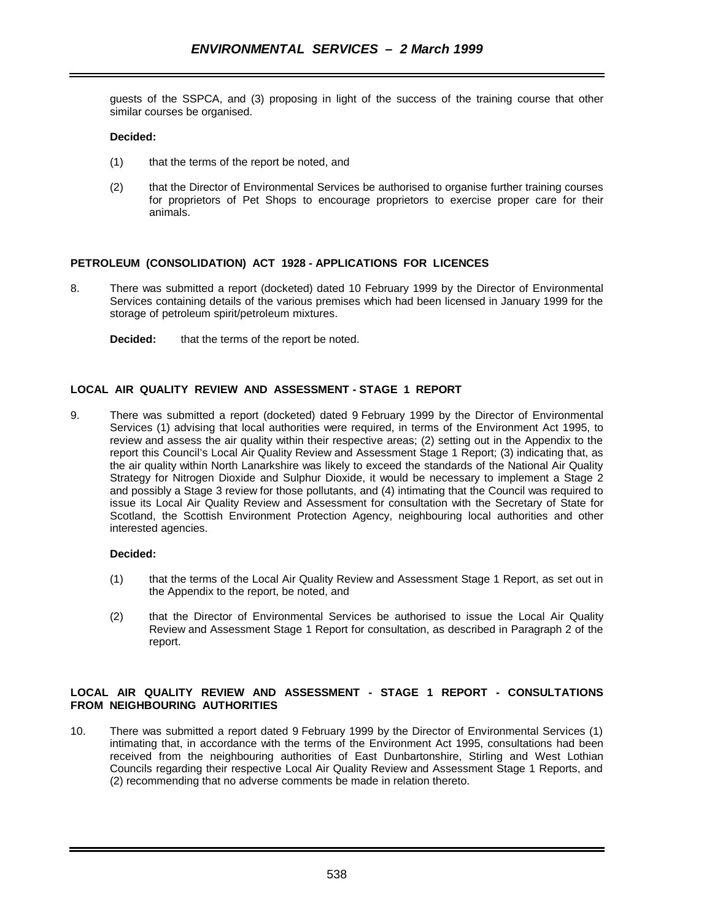guests of the SSPCA, and (3) proposing in light of the success of the training course that other similar courses be organised.

### **Decided:**

- (1) that the terms of the report be noted, and
- (2) that the Director of Environmental Services be authorised to organise further training courses for proprietors of Pet Shops to encourage proprietors to exercise proper care for their animals.

# **PETROLEUM (CONSOLIDATION) ACT 1928 - APPLICATIONS FOR LICENCES**

- 8. There was submitted a report (docketed) dated 10 February 1999 by the Director of Environmental Services containing details of the various premises which had been licensed in January 1999 for the storage of petroleum spirit/petroleum mixtures.
	- **Decided:** that the terms of the report be noted.

# **LOCAL AIR QUALITY REVIEW AND ASSESSMENT - STAGE 1 REPORT**

9. There was submitted a report (docketed) dated 9 February 1999 by the Director of Environmental Services (1) advising that local authorities were required, in terms of the Environment Act 1995, to review and assess the air quality within their respective areas; (2) setting out in the Appendix to the report this Council's Local Air Quality Review and Assessment Stage 1 Report; (3) indicating that, as the air quality within North Lanarkshire was likely to exceed the standards of the National Air Quality Strategy for Nitrogen Dioxide and Sulphur Dioxide, it would be necessary to implement a Stage 2 and possibly a Stage 3 review for those pollutants, and (4) intimating that the Council was required to issue its Local Air Quality Review and Assessment for consultation with the Secretary of State for Scotland, the Scottish Environment Protection Agency, neighbouring local authorities and other interested agencies.

#### **Decided:**

- (1) that the terms of the Local Air Quality Review and Assessment Stage 1 Report, as set out in the Appendix to the report, be noted, and
- (2) that the Director of Environmental Services be authorised to issue the Local Air Quality Review and Assessment Stage 1 Report for consultation, as described in Paragraph 2 of the report.

# **LOCAL AIR QUALITY REVIEW AND ASSESSMENT - STAGE 1 REPORT - CONSULTATIONS FROM NEIGHBOURING AUTHORITIES**

10. There was submitted a report dated 9 February 1999 by the Director of Environmental Services (1) intimating that, in accordance with the terms of the Environment Act 1995, consultations had been received from the neighbouring authorities of East Dunbartonshire, Stirling and West Lothian Councils regarding their respective Local Air Quality Review and Assessment Stage 1 Reports, and (2) recommending that no adverse comments be made in relation thereto.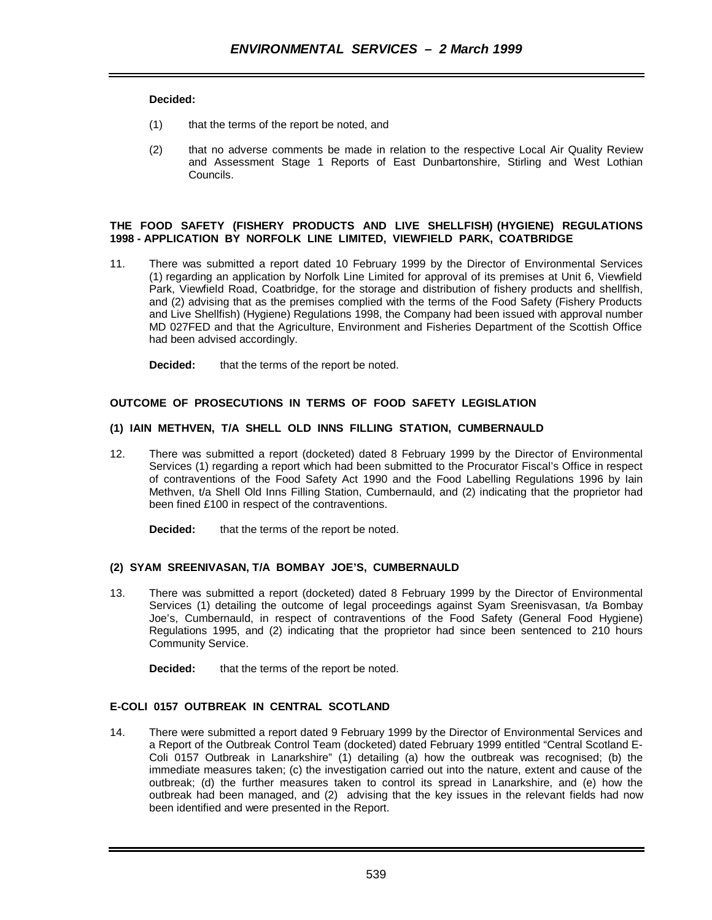### **Decided:**

- (1) that the terms of the report be noted, and
- (2) that no adverse comments be made in relation to the respective Local Air Quality Review and Assessment Stage 1 Reports of East Dunbartonshire, Stirling and West Lothian Councils.

#### **THE FOOD SAFETY (FISHERY PRODUCTS AND LIVE SHELLFISH) (HYGIENE) REGULATIONS 1998 - APPLICATION BY NORFOLK LINE LIMITED, VIEWFIELD PARK, COATBRIDGE**

- 11. There was submitted a report dated 10 February 1999 by the Director of Environmental Services (1) regarding an application by Norfolk Line Limited for approval of its premises at Unit 6, Viewfield Park, Viewfield Road, Coatbridge, for the storage and distribution of fishery products and shellfish, and (2) advising that as the premises complied with the terms of the Food Safety (Fishery Products and Live Shellfish) (Hygiene) Regulations 1998, the Company had been issued with approval number MD 027FED and that the Agriculture, Environment and Fisheries Department of the Scottish Office had been advised accordingly.
	- **Decided:** that the terms of the report be noted.

# **OUTCOME OF PROSECUTIONS IN TERMS OF FOOD SAFETY LEGISLATION**

#### **(1) IAIN METHVEN, T/A SHELL OLD INNS FILLING STATION, CUMBERNAULD**

- 12. There was submitted a report (docketed) dated 8 February 1999 by the Director of Environmental Services (1) regarding a report which had been submitted to the Procurator Fiscal's Office in respect of contraventions of the Food Safety Act 1990 and the Food Labelling Regulations 1996 by Iain Methven, t/a Shell Old Inns Filling Station, Cumbernauld, and (2) indicating that the proprietor had been fined £100 in respect of the contraventions.
	- **Decided:** that the terms of the report be noted.

# **(2) SYAM SREENIVASAN, T/A BOMBAY JOE'S, CUMBERNAULD**

- 13. There was submitted a report (docketed) dated 8 February 1999 by the Director of Environmental Services (1) detailing the outcome of legal proceedings against Syam Sreenisvasan, t/a Bombay Joe's, Cumbernauld, in respect of contraventions of the Food Safety (General Food Hygiene) Regulations 1995, and (2) indicating that the proprietor had since been sentenced to 210 hours Community Service.
	- **Decided:** that the terms of the report be noted.

# **E-COLI 0157 OUTBREAK IN CENTRAL SCOTLAND**

14. There were submitted a report dated 9 February 1999 by the Director of Environmental Services and a Report of the Outbreak Control Team (docketed) dated February 1999 entitled "Central Scotland E-Coli 0157 Outbreak in Lanarkshire" (1) detailing (a) how the outbreak was recognised; (b) the immediate measures taken; (c) the investigation carried out into the nature, extent and cause of the outbreak; (d) the further measures taken to control its spread in Lanarkshire, and (e) how the outbreak had been managed, and (2) advising that the key issues in the relevant fields had now been identified and were presented in the Report.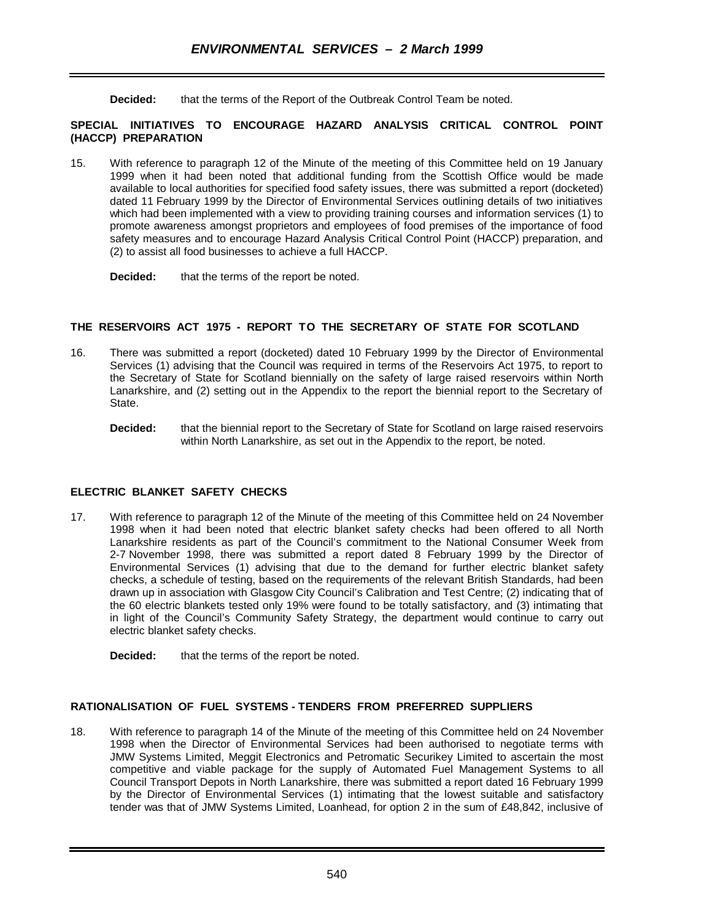**Decided:** that the terms of the Report of the Outbreak Control Team be noted.

### **SPECIAL INITIATIVES TO ENCOURAGE HAZARD ANALYSIS CRITICAL CONTROL POINT (HACCP) PREPARATION**

15. With reference to paragraph 12 of the Minute of the meeting of this Committee held on 19 January 1999 when it had been noted that additional funding from the Scottish Office would be made available to local authorities for specified food safety issues, there was submitted a report (docketed) dated 11 February 1999 by the Director of Environmental Services outlining details of two initiatives which had been implemented with a view to providing training courses and information services (1) to promote awareness amongst proprietors and employees of food premises of the importance of food safety measures and to encourage Hazard Analysis Critical Control Point (HACCP) preparation, and (2) to assist all food businesses to achieve a full HACCP.

**Decided:** that the terms of the report be noted.

# **THE RESERVOIRS ACT 1975 - REPORT TO THE SECRETARY OF STATE FOR SCOTLAND**

- 16. There was submitted a report (docketed) dated 10 February 1999 by the Director of Environmental Services (1) advising that the Council was required in terms of the Reservoirs Act 1975, to report to the Secretary of State for Scotland biennially on the safety of large raised reservoirs within North Lanarkshire, and (2) setting out in the Appendix to the report the biennial report to the Secretary of State.
	- **Decided:** that the biennial report to the Secretary of State for Scotland on large raised reservoirs within North Lanarkshire, as set out in the Appendix to the report, be noted.

# **ELECTRIC BLANKET SAFETY CHECKS**

17. With reference to paragraph 12 of the Minute of the meeting of this Committee held on 24 November 1998 when it had been noted that electric blanket safety checks had been offered to all North Lanarkshire residents as part of the Council's commitment to the National Consumer Week from 2-7 November 1998, there was submitted a report dated 8 February 1999 by the Director of Environmental Services (1) advising that due to the demand for further electric blanket safety checks, a schedule of testing, based on the requirements of the relevant British Standards, had been drawn up in association with Glasgow City Council's Calibration and Test Centre; (2) indicating that of the 60 electric blankets tested only 19% were found to be totally satisfactory, and (3) intimating that in light of the Council's Community Safety Strategy, the department would continue to carry out electric blanket safety checks.

# **RATIONALISATION OF FUEL SYSTEMS - TENDERS FROM PREFERRED SUPPLIERS**

18. With reference to paragraph 14 of the Minute of the meeting of this Committee held on 24 November 1998 when the Director of Environmental Services had been authorised to negotiate terms with JMW Systems Limited, Meggit Electronics and Petromatic Securikey Limited to ascertain the most competitive and viable package for the supply of Automated Fuel Management Systems to all Council Transport Depots in North Lanarkshire, there was submitted a report dated 16 February 1999 by the Director of Environmental Services (1) intimating that the lowest suitable and satisfactory tender was that of JMW Systems Limited, Loanhead, for option 2 in the sum of £48,842, inclusive of

**Decided:** that the terms of the report be noted.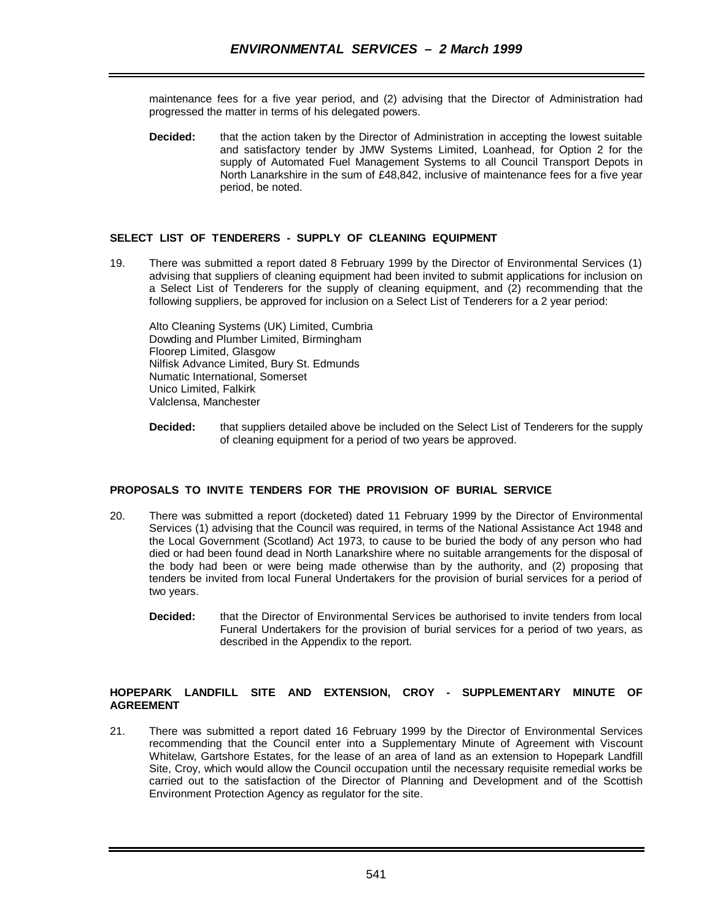maintenance fees for a five year period, and (2) advising that the Director of Administration had progressed the matter in terms of his delegated powers.

**Decided:** that the action taken by the Director of Administration in accepting the lowest suitable and satisfactory tender by JMW Systems Limited, Loanhead, for Option 2 for the supply of Automated Fuel Management Systems to all Council Transport Depots in North Lanarkshire in the sum of £48,842, inclusive of maintenance fees for a five year period, be noted.

# **SELECT LIST OF TENDERERS - SUPPLY OF CLEANING EQUIPMENT**

19. There was submitted a report dated 8 February 1999 by the Director of Environmental Services (1) advising that suppliers of cleaning equipment had been invited to submit applications for inclusion on a Select List of Tenderers for the supply of cleaning equipment, and (2) recommending that the following suppliers, be approved for inclusion on a Select List of Tenderers for a 2 year period:

Alto Cleaning Systems (UK) Limited, Cumbria Dowding and Plumber Limited, Birmingham Floorep Limited, Glasgow Nilfisk Advance Limited, Bury St. Edmunds Numatic International, Somerset Unico Limited, Falkirk Valclensa, Manchester

**Decided:** that suppliers detailed above be included on the Select List of Tenderers for the supply of cleaning equipment for a period of two years be approved.

#### **PROPOSALS TO INVITE TENDERS FOR THE PROVISION OF BURIAL SERVICE**

- 20. There was submitted a report (docketed) dated 11 February 1999 by the Director of Environmental Services (1) advising that the Council was required, in terms of the National Assistance Act 1948 and the Local Government (Scotland) Act 1973, to cause to be buried the body of any person who had died or had been found dead in North Lanarkshire where no suitable arrangements for the disposal of the body had been or were being made otherwise than by the authority, and (2) proposing that tenders be invited from local Funeral Undertakers for the provision of burial services for a period of two years.
	- **Decided:** that the Director of Environmental Services be authorised to invite tenders from local Funeral Undertakers for the provision of burial services for a period of two years, as described in the Appendix to the report.

### **HOPEPARK LANDFILL SITE AND EXTENSION, CROY - SUPPLEMENTARY MINUTE OF AGREEMENT**

21. There was submitted a report dated 16 February 1999 by the Director of Environmental Services recommending that the Council enter into a Supplementary Minute of Agreement with Viscount Whitelaw, Gartshore Estates, for the lease of an area of land as an extension to Hopepark Landfill Site, Croy, which would allow the Council occupation until the necessary requisite remedial works be carried out to the satisfaction of the Director of Planning and Development and of the Scottish Environment Protection Agency as regulator for the site.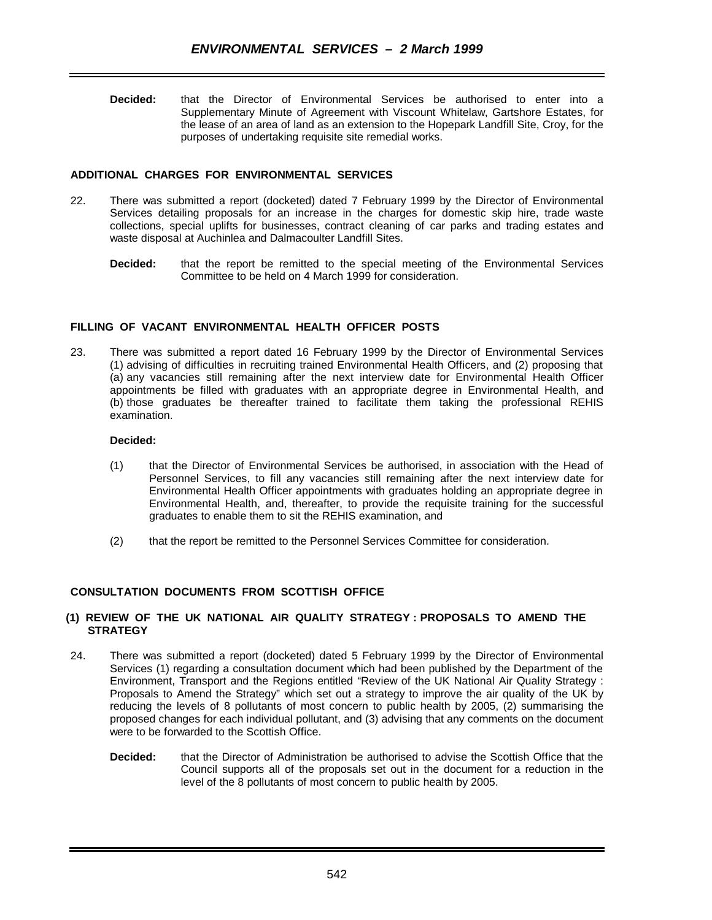**Decided:** that the Director of Environmental Services be authorised to enter into a Supplementary Minute of Agreement with Viscount Whitelaw, Gartshore Estates, for the lease of an area of land as an extension to the Hopepark Landfill Site, Croy, for the purposes of undertaking requisite site remedial works.

# **ADDITIONAL CHARGES FOR ENVIRONMENTAL SERVICES**

- 22. There was submitted a report (docketed) dated 7 February 1999 by the Director of Environmental Services detailing proposals for an increase in the charges for domestic skip hire, trade waste collections, special uplifts for businesses, contract cleaning of car parks and trading estates and waste disposal at Auchinlea and Dalmacoulter Landfill Sites.
	- **Decided:** that the report be remitted to the special meeting of the Environmental Services Committee to be held on 4 March 1999 for consideration.

# **FILLING OF VACANT ENVIRONMENTAL HEALTH OFFICER POSTS**

23. There was submitted a report dated 16 February 1999 by the Director of Environmental Services (1) advising of difficulties in recruiting trained Environmental Health Officers, and (2) proposing that (a) any vacancies still remaining after the next interview date for Environmental Health Officer appointments be filled with graduates with an appropriate degree in Environmental Health, and (b) those graduates be thereafter trained to facilitate them taking the professional REHIS examination.

# **Decided:**

- (1) that the Director of Environmental Services be authorised, in association with the Head of Personnel Services, to fill any vacancies still remaining after the next interview date for Environmental Health Officer appointments with graduates holding an appropriate degree in Environmental Health, and, thereafter, to provide the requisite training for the successful graduates to enable them to sit the REHIS examination, and
- (2) that the report be remitted to the Personnel Services Committee for consideration.

#### **CONSULTATION DOCUMENTS FROM SCOTTISH OFFICE**

#### **(1) REVIEW OF THE UK NATIONAL AIR QUALITY STRATEGY : PROPOSALS TO AMEND THE STRATEGY**

- 24. There was submitted a report (docketed) dated 5 February 1999 by the Director of Environmental Services (1) regarding a consultation document which had been published by the Department of the Environment, Transport and the Regions entitled "Review of the UK National Air Quality Strategy : Proposals to Amend the Strategy" which set out a strategy to improve the air quality of the UK by reducing the levels of 8 pollutants of most concern to public health by 2005, (2) summarising the proposed changes for each individual pollutant, and (3) advising that any comments on the document were to be forwarded to the Scottish Office.
	- **Decided:** that the Director of Administration be authorised to advise the Scottish Office that the Council supports all of the proposals set out in the document for a reduction in the level of the 8 pollutants of most concern to public health by 2005.